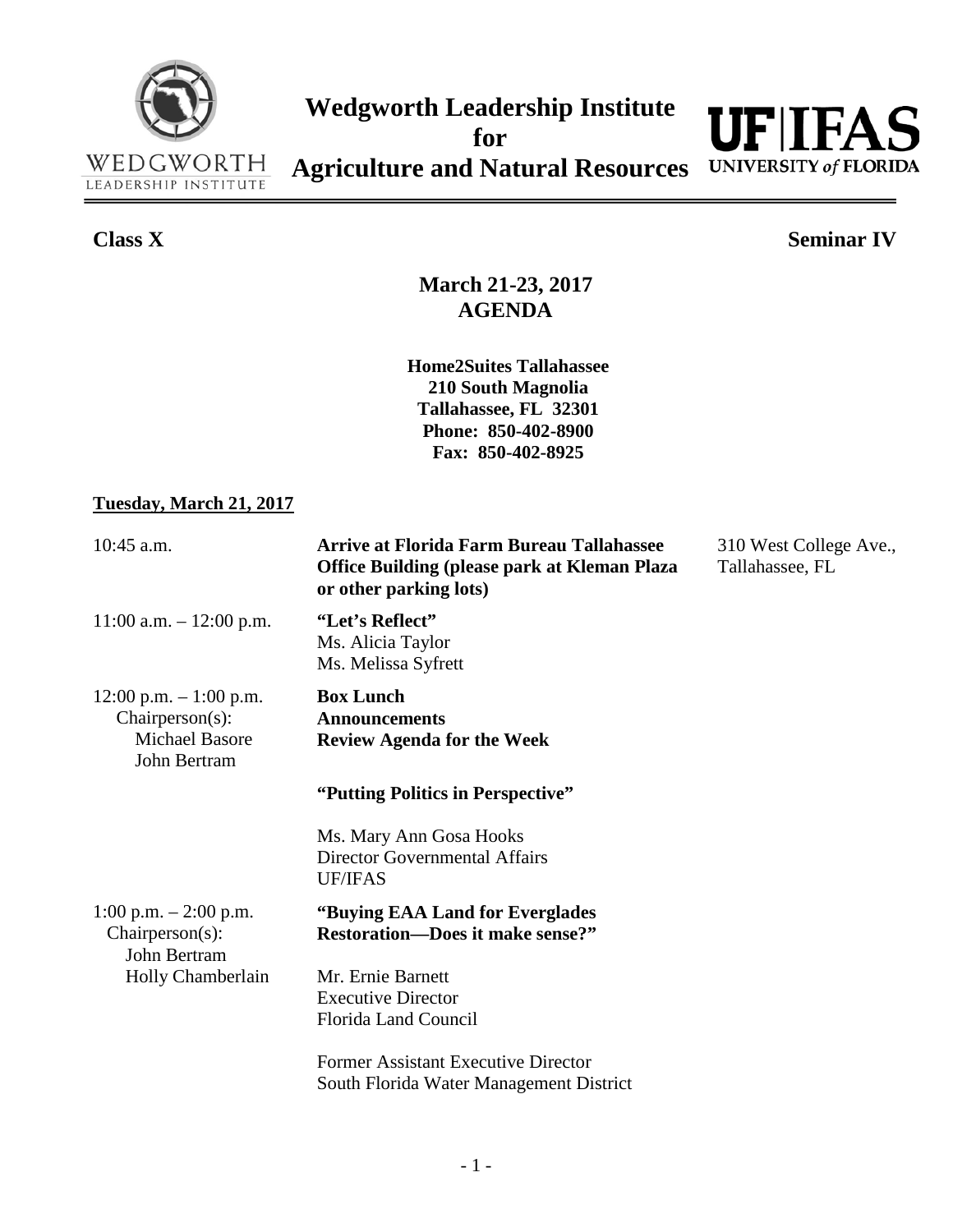



**Class X Seminar IV**

**March 21-23, 2017 AGENDA**

**Home2Suites Tallahassee 210 South Magnolia Tallahassee, FL 32301 Phone: 850-402-8900 Fax: 850-402-8925**

## **Tuesday, March 21, 2017**

| $10:45$ a.m.                                                                        | <b>Arrive at Florida Farm Bureau Tallahassee</b><br><b>Office Building (please park at Kleman Plaza</b><br>or other parking lots) | 310 West College Ave.,<br>Tallahassee, FL |
|-------------------------------------------------------------------------------------|-----------------------------------------------------------------------------------------------------------------------------------|-------------------------------------------|
| $11:00$ a.m. $-12:00$ p.m.                                                          | "Let's Reflect"<br>Ms. Alicia Taylor<br>Ms. Melissa Syfrett                                                                       |                                           |
| 12:00 p.m. $-1:00$ p.m.<br>Chairperson(s):<br><b>Michael Basore</b><br>John Bertram | <b>Box Lunch</b><br><b>Announcements</b><br><b>Review Agenda for the Week</b>                                                     |                                           |
|                                                                                     | "Putting Politics in Perspective"                                                                                                 |                                           |
|                                                                                     | Ms. Mary Ann Gosa Hooks<br><b>Director Governmental Affairs</b><br><b>UF/IFAS</b>                                                 |                                           |
| 1:00 p.m. $-2:00$ p.m.<br>$Chairperson(s)$ :<br>John Bertram                        | "Buying EAA Land for Everglades"<br><b>Restoration-Does it make sense?"</b>                                                       |                                           |
| Holly Chamberlain                                                                   | Mr. Ernie Barnett                                                                                                                 |                                           |
|                                                                                     | <b>Executive Director</b>                                                                                                         |                                           |
|                                                                                     | <b>Florida Land Council</b>                                                                                                       |                                           |
|                                                                                     | <b>Former Assistant Executive Director</b>                                                                                        |                                           |
|                                                                                     | South Florida Water Management District                                                                                           |                                           |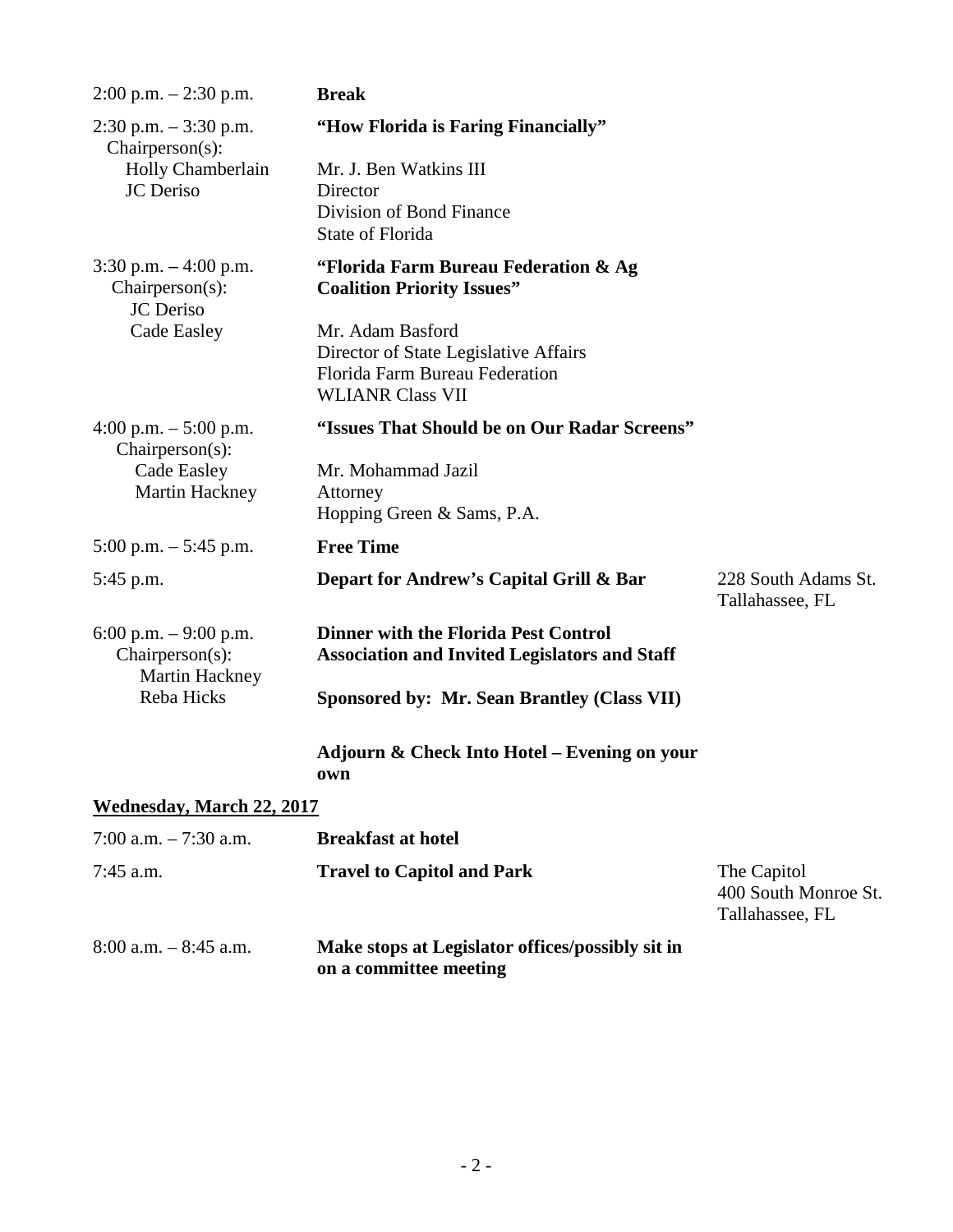| $2:00$ p.m. $-2:30$ p.m.                                    | <b>Break</b>                                                                                                           |                                                        |  |
|-------------------------------------------------------------|------------------------------------------------------------------------------------------------------------------------|--------------------------------------------------------|--|
| $2:30$ p.m. $-3:30$ p.m.<br>$Chairperson(s)$ :              | "How Florida is Faring Financially"                                                                                    |                                                        |  |
| Holly Chamberlain<br><b>JC</b> Deriso                       | Mr. J. Ben Watkins III<br>Director                                                                                     |                                                        |  |
|                                                             | Division of Bond Finance<br><b>State of Florida</b>                                                                    |                                                        |  |
| $3:30$ p.m. $-4:00$ p.m.<br>Chairperson(s):<br>JC Deriso    | "Florida Farm Bureau Federation & Ag<br><b>Coalition Priority Issues"</b>                                              |                                                        |  |
| Cade Easley                                                 | Mr. Adam Basford<br>Director of State Legislative Affairs<br>Florida Farm Bureau Federation<br><b>WLIANR Class VII</b> |                                                        |  |
| 4:00 p.m. $-$ 5:00 p.m.<br>Chairperson(s):                  | "Issues That Should be on Our Radar Screens"                                                                           |                                                        |  |
| Cade Easley                                                 | Mr. Mohammad Jazil                                                                                                     |                                                        |  |
| Martin Hackney                                              | Attorney                                                                                                               |                                                        |  |
|                                                             | Hopping Green & Sams, P.A.                                                                                             |                                                        |  |
| 5:00 p.m. $-$ 5:45 p.m.                                     | <b>Free Time</b>                                                                                                       |                                                        |  |
| 5:45 p.m.                                                   | Depart for Andrew's Capital Grill & Bar                                                                                | 228 South Adams St.<br>Tallahassee, FL                 |  |
| 6:00 p.m. $-9:00$ p.m.<br>Chairperson(s):<br>Martin Hackney | <b>Dinner with the Florida Pest Control</b><br><b>Association and Invited Legislators and Staff</b>                    |                                                        |  |
| Reba Hicks                                                  | <b>Sponsored by: Mr. Sean Brantley (Class VII)</b>                                                                     |                                                        |  |
|                                                             | Adjourn & Check Into Hotel – Evening on your<br>own                                                                    |                                                        |  |
| Wednesday, March 22, 2017                                   |                                                                                                                        |                                                        |  |
| 7:00 a.m. $-7:30$ a.m.                                      | <b>Breakfast at hotel</b>                                                                                              |                                                        |  |
| $7:45$ a.m.                                                 | <b>Travel to Capitol and Park</b>                                                                                      | The Capitol<br>400 South Monroe St.<br>Tallahassee, FL |  |
| $8:00$ a.m. $-8:45$ a.m.                                    | Make stops at Legislator offices/possibly sit in                                                                       |                                                        |  |

**on a committee meeting**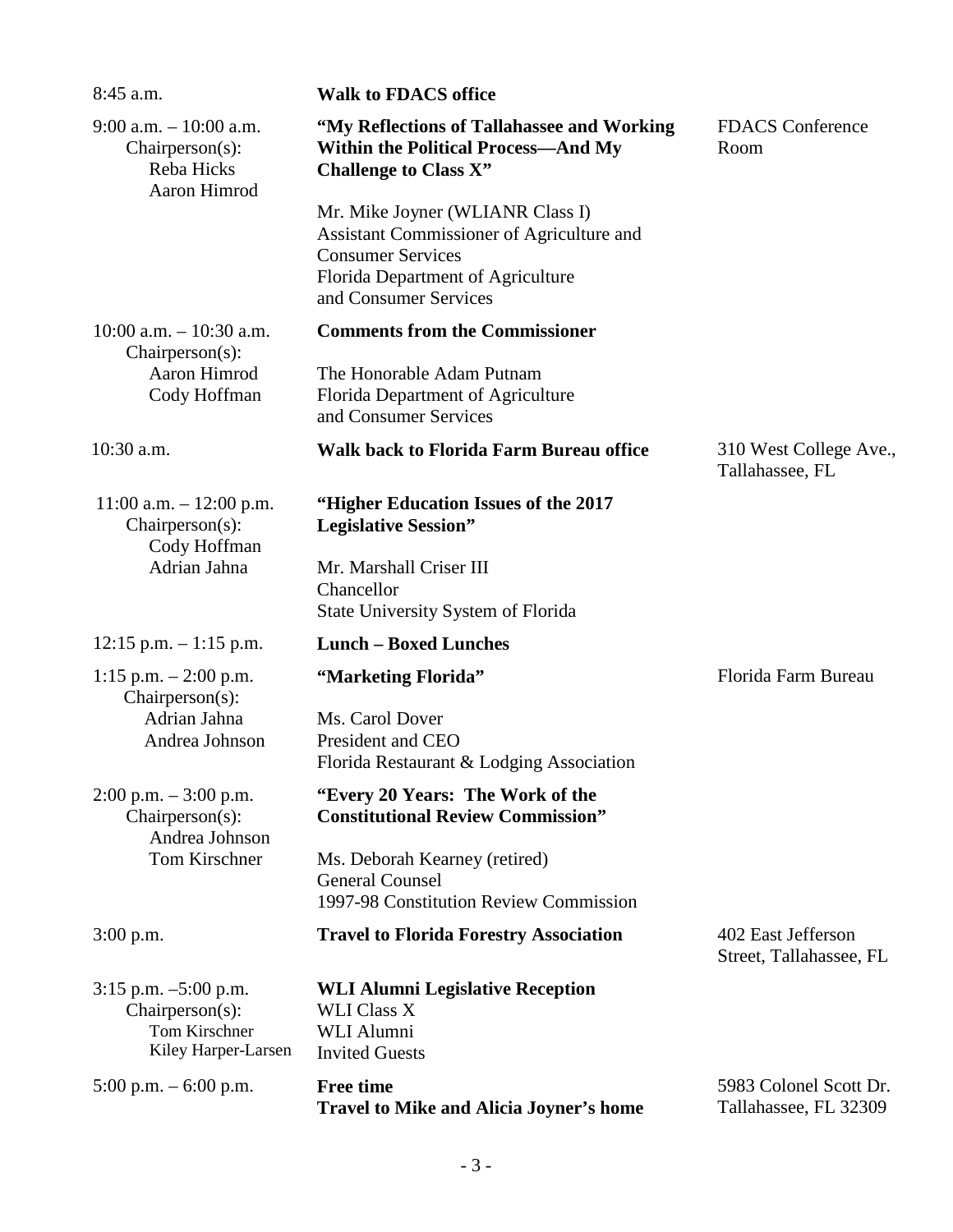| $8:45$ a.m.                                                                         | <b>Walk to FDACS office</b>                                                                                                                                             |                                                 |
|-------------------------------------------------------------------------------------|-------------------------------------------------------------------------------------------------------------------------------------------------------------------------|-------------------------------------------------|
| $9:00$ a.m. $-10:00$ a.m.<br>Chairperson(s):<br>Reba Hicks<br>Aaron Himrod          | "My Reflections of Tallahassee and Working<br><b>Within the Political Process-And My</b><br><b>Challenge to Class X"</b>                                                | <b>FDACS</b> Conference<br>Room                 |
|                                                                                     | Mr. Mike Joyner (WLIANR Class I)<br>Assistant Commissioner of Agriculture and<br><b>Consumer Services</b><br>Florida Department of Agriculture<br>and Consumer Services |                                                 |
| $10:00$ a.m. $-10:30$ a.m.<br>$Chairperson(s)$ :                                    | <b>Comments from the Commissioner</b>                                                                                                                                   |                                                 |
| Aaron Himrod<br>Cody Hoffman                                                        | The Honorable Adam Putnam<br>Florida Department of Agriculture<br>and Consumer Services                                                                                 |                                                 |
| $10:30$ a.m.                                                                        | <b>Walk back to Florida Farm Bureau office</b>                                                                                                                          | 310 West College Ave.,<br>Tallahassee, FL       |
| $11:00$ a.m. $-12:00$ p.m.<br>Chairperson(s):<br>Cody Hoffman                       | "Higher Education Issues of the 2017<br><b>Legislative Session"</b>                                                                                                     |                                                 |
| Adrian Jahna                                                                        | Mr. Marshall Criser III<br>Chancellor<br>State University System of Florida                                                                                             |                                                 |
| $12:15$ p.m. $-1:15$ p.m.                                                           | <b>Lunch - Boxed Lunches</b>                                                                                                                                            |                                                 |
| 1:15 p.m. $- 2:00$ p.m.<br>$Chairperson(s)$ :                                       | "Marketing Florida"                                                                                                                                                     | Florida Farm Bureau                             |
| Adrian Jahna<br>Andrea Johnson                                                      | Ms. Carol Dover<br>President and CEO<br>Florida Restaurant & Lodging Association                                                                                        |                                                 |
| $2:00$ p.m. $-3:00$ p.m.<br>Chairperson(s):<br>Andrea Johnson                       | "Every 20 Years: The Work of the<br><b>Constitutional Review Commission"</b>                                                                                            |                                                 |
| Tom Kirschner                                                                       | Ms. Deborah Kearney (retired)<br><b>General Counsel</b><br>1997-98 Constitution Review Commission                                                                       |                                                 |
| $3:00$ p.m.                                                                         | <b>Travel to Florida Forestry Association</b>                                                                                                                           | 402 East Jefferson<br>Street, Tallahassee, FL   |
| $3:15$ p.m. $-5:00$ p.m.<br>Chairperson(s):<br>Tom Kirschner<br>Kiley Harper-Larsen | <b>WLI Alumni Legislative Reception</b><br><b>WLI Class X</b><br>WLI Alumni<br><b>Invited Guests</b>                                                                    |                                                 |
| 5:00 p.m. $-$ 6:00 p.m.                                                             | <b>Free time</b><br><b>Travel to Mike and Alicia Joyner's home</b>                                                                                                      | 5983 Colonel Scott Dr.<br>Tallahassee, FL 32309 |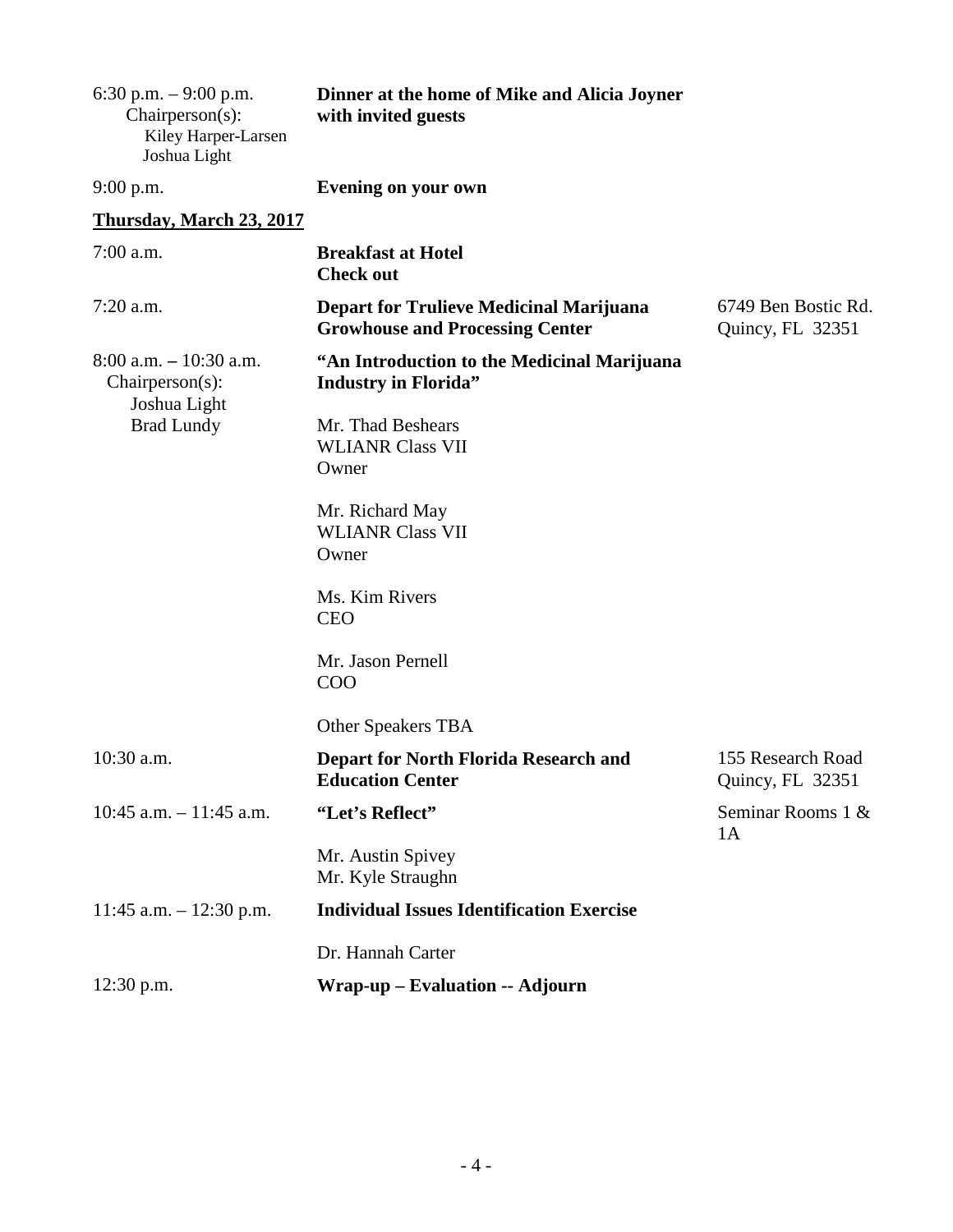| 6:30 p.m. $-9:00$ p.m.<br>Chairperson(s):<br>Kiley Harper-Larsen<br>Joshua Light | Dinner at the home of Mike and Alicia Joyner<br>with invited guests                      |                                         |
|----------------------------------------------------------------------------------|------------------------------------------------------------------------------------------|-----------------------------------------|
| $9:00$ p.m.                                                                      | <b>Evening on your own</b>                                                               |                                         |
| Thursday, March 23, 2017                                                         |                                                                                          |                                         |
| $7:00$ a.m.                                                                      | <b>Breakfast at Hotel</b><br><b>Check out</b>                                            |                                         |
| $7:20$ a.m.                                                                      | <b>Depart for Trulieve Medicinal Marijuana</b><br><b>Growhouse and Processing Center</b> | 6749 Ben Bostic Rd.<br>Quincy, FL 32351 |
| $8:00$ a.m. $-10:30$ a.m.<br>Chairperson(s):                                     | "An Introduction to the Medicinal Marijuana<br><b>Industry in Florida"</b>               |                                         |
| Joshua Light<br><b>Brad Lundy</b>                                                | Mr. Thad Beshears<br><b>WLIANR Class VII</b><br>Owner                                    |                                         |
|                                                                                  | Mr. Richard May<br><b>WLIANR Class VII</b><br>Owner                                      |                                         |
|                                                                                  | Ms. Kim Rivers<br><b>CEO</b>                                                             |                                         |
|                                                                                  | Mr. Jason Pernell<br><b>COO</b>                                                          |                                         |
|                                                                                  | <b>Other Speakers TBA</b>                                                                |                                         |
| 10:30 a.m.                                                                       | <b>Depart for North Florida Research and</b><br><b>Education Center</b>                  | 155 Research Road<br>Quincy, FL 32351   |
| $10:45$ a.m. $-11:45$ a.m.                                                       | "Let's Reflect"                                                                          | Seminar Rooms 1 &<br>1A                 |
|                                                                                  | Mr. Austin Spivey<br>Mr. Kyle Straughn                                                   |                                         |
| 11:45 a.m. $- 12:30$ p.m.                                                        | <b>Individual Issues Identification Exercise</b>                                         |                                         |
|                                                                                  | Dr. Hannah Carter                                                                        |                                         |
| $12:30$ p.m.                                                                     | Wrap-up – Evaluation -- Adjourn                                                          |                                         |